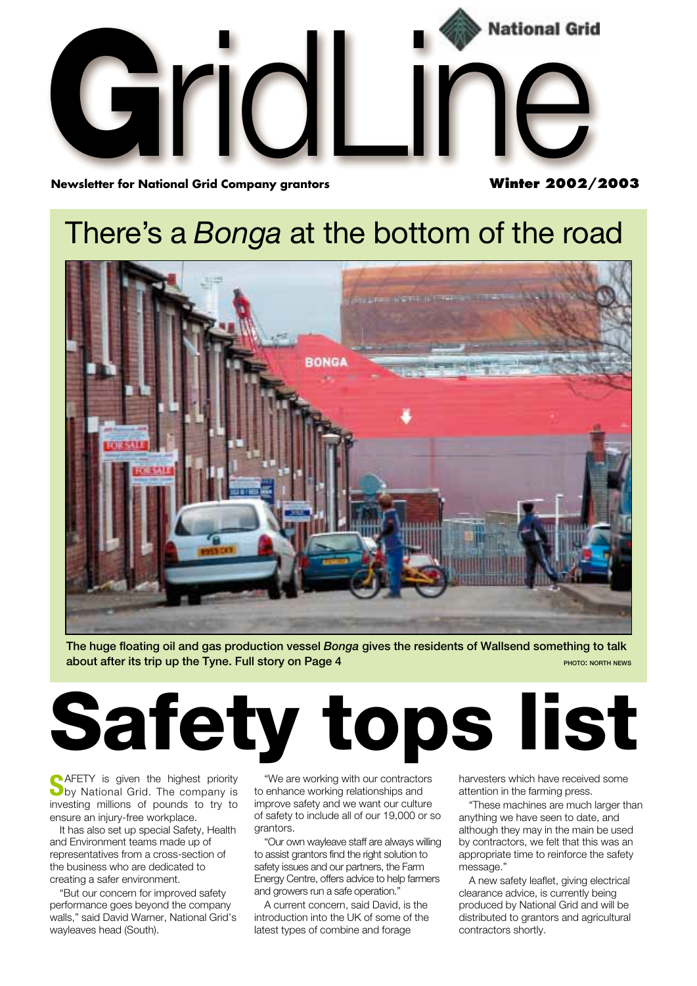

**Newsletter for National Grid Company grantors** 

**Winter 2002/2003**

### There's a *Bonga* at the bottom of the road



**The huge floating oil and gas production vessel** *Bonga* **gives the residents of Wallsend something to talk about after its trip up the Tyne. Full story on Page 4 PHOTO: DESCRIPTION PHOTO: NORTH NEWS** 

# **Safety tops list**

**SAFETY** is given the highest priority<br>
by National Grid. The company is investing millions of pounds to try to ensure an injury-free workplace.

It has also set up special Safety, Health and Environment teams made up of representatives from a cross-section of the business who are dedicated to creating a safer environment.

"But our concern for improved safety performance goes beyond the company walls," said David Warner, National Grid's wayleaves head (South).

"We are working with our contractors to enhance working relationships and improve safety and we want our culture of safety to include all of our 19,000 or so grantors.

"Our own wayleave staff are always willing to assist grantors find the right solution to safety issues and our partners, the Farm Energy Centre, offers advice to help farmers and growers run a safe operation."

A current concern, said David, is the introduction into the UK of some of the latest types of combine and forage

harvesters which have received some attention in the farming press.

"These machines are much larger than anything we have seen to date, and although they may in the main be used by contractors, we felt that this was an appropriate time to reinforce the safety message."

A new safety leaflet, giving electrical clearance advice, is currently being produced by National Grid and will be distributed to grantors and agricultural contractors shortly.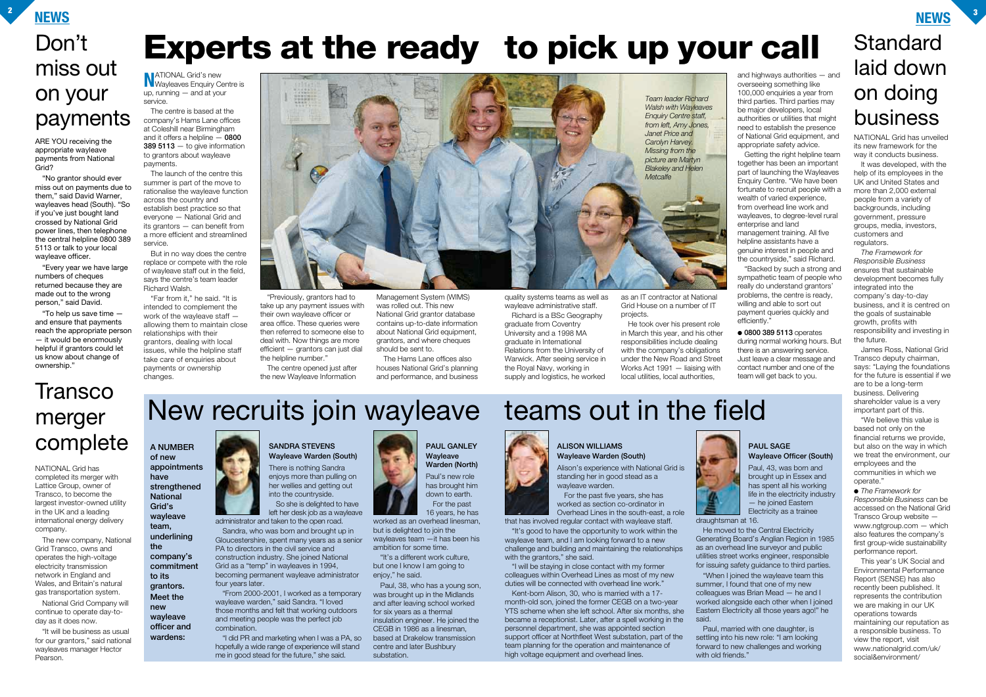**NEWS <sup>2</sup>**

#### **NEWS <sup>3</sup>**

# New recruits join wayleave teams out in the field

## **Standard** laid down on doing business

## **Transco** merger complete

#### **NATIONAL Grid's new**<br>Wayleaves Enquiry Centre is up, running — and at your service.

# **Experts at the ready to pick up your call**

The centre is based at the company's Hams Lane offices at Coleshill near Birmingham and it offers a helpline — **0800 389 5113** — to give information to grantors about wayleave payments.

The launch of the centre this summer is part of the move to rationalise the wayleave function across the country and establish best practice so that everyone — National Grid and its grantors — can benefit from a more efficient and streamlined service.

But in no way does the centre replace or compete with the role of wayleave staff out in the field, says the centre's team leader Richard Walsh.

"Far from it," he said. "It is intended to complement the work of the wayleave staff allowing them to maintain close relationships with their grantors, dealing with local issues, while the helpline staff take care of enquiries about payments or ownership changes.

"Previously, grantors had to take up any payment issues with their own wayleave officer or area office. These queries were then referred to someone else to deal with. Now things are more efficient — grantors can just dial the helpline number."

The centre opened just after the new Wayleave Information

"Backed by such a strong and sympathetic team of people who really do understand grantors' problems, the centre is ready, willing and able to sort out payment queries quickly and efficiently.

Management System (WIMS) was rolled out. This new National Grid grantor database contains up-to-date information about National Grid equipment. grantors, and where cheques should be sent to.

The Hams Lane offices also houses National Grid's planning and performance, and business

NATIONAL Grid has unveiled its new framework for the way it conducts business.

quality systems teams as well as wayleave administrative staff.

Richard is a BSc Geography graduate from Coventry University and a 1998 MA graduate in International Relations from the University of Warwick. After seeing service in the Royal Navy, working in supply and logistics, he worked

as an IT contractor at National Grid House on a number of IT projects.

He took over his present role in March this year, and his other responsibilities include dealing with the company's obligations under the New Road and Street Works Act 1991 — liaising with local utilities, local authorities,

and highways authorities — and overseeing something like 100,000 enquiries a year from third parties. Third parties may be major developers, local authorities or utilities that might need to establish the presence of National Grid equipment, and appropriate safety advice.

Getting the right helpline team together has been an important part of launching the Wayleaves Enquiry Centre. "We have been fortunate to recruit people with a wealth of varied experience, from overhead line work and wayleaves, to degree-level rural enterprise and land

Paul, 43, was born and brought up in Essex and has spent all his working life in the electricity industry — he joined Eastern Electricity as a trainee

management training. All five helpline assistants have a genuine interest in people and the countryside," said Richard.

● **0800 389 5113** operates during normal working hours. But there is an answering service. Just leave a clear message and contact number and one of the team will get back to you.

It was developed, with the help of its employees in the UK and United States and more than 2,000 external people from a variety of backgrounds, including government, pressure groups, media, investors, customers and regulators.

*The Framework for Responsible Business* ensures that sustainable development becomes fully integrated into the company's day-to-day business, and it is centred on the goals of sustainable growth, profits with responsibility and investing in the future.

James Ross, National Grid Transco deputy chairman, says: "Laying the foundations for the future is essential if we are to be a long-term business. Delivering shareholder value is a very important part of this.

"We believe this value is based not only on the financial returns we provide, but also on the way in which we treat the environment, our employees and the communities in which we operate."

● *The Framework for Responsible Business* can be accessed on the National Grid Transco Group website www.ngtgroup.com — which also features the company's first group-wide sustainability performance report.

This year's UK Social and Environmental Performance Report (SENSE) has also recently been published. It represents the contribution we are making in our UK operations towards maintaining our reputation as a responsible business. To view the report, visit www.nationalgrid.com/uk/ social&environment/

NATIONAL Grid has completed its merger with Lattice Group, owner of Transco, to become the largest investor-owned utility in the UK and a leading international energy delivery company.

The new company, National Grid Transco, owns and operates the high-voltage electricity transmission network in England and Wales, and Britain's natural gas transportation system.

National Grid Company will continue to operate day-today as it does now.

"It will be business as usual for our grantors," said national wayleaves manager Hector Pearson.



#### **PAUL SAGE Wayleave Officer (South)**



He moved to the Central Electricity Generating Board's Anglian Region in 1985 as an overhead line surveyor and public utilities street works engineer, responsible for issuing safety guidance to third parties. "When I joined the wayleave team this summer, I found that one of my new colleagues was Brian Mead — he and I worked alongside each other when I joined Eastern Electricity all those years ago!" he said.

with old friends."



Paul, married with one daughter, is settling into his new role: "I am looking forward to new challenges and working

#### **SANDRA STEVENS Wayleave Warden (South)**

There is nothing Sandra enjoys more than pulling on her wellies and getting out into the countryside. So she is delighted to have

left her desk job as a wayleave administrator and taken to the open road.

Sandra, who was born and brought up in Gloucestershire, spent many years as a senior PA to directors in the civil service and construction industry. She joined National Grid as a "temp" in wayleaves in 1994, becoming permanent wayleave administrator four years later.

"From 2000-2001, I worked as a temporary wayleave warden," said Sandra. "I loved those months and felt that working outdoors and meeting people was the perfect job combination.

"I did PR and marketing when I was a PA, so hopefully a wide range of experience will stand me in good stead for the future," she said.





Alison's experience with National Grid is standing her in good stead as a wayleave warden.

For the past five years, she has worked as section co-ordinator in Overhead Lines in the south-east, a role that has involved regular contact with wayleave staff.

"It's good to have the opportunity to work within the wayleave team, and I am looking forward to a new challenge and building and maintaining the relationships with the grantors," she said.

"I will be staying in close contact with my former colleagues within Overhead Lines as most of my new duties will be connected with overhead line work."

Kent-born Alison, 30, who is married with a 17 month-old son, joined the former CEGB on a two-year YTS scheme when she left school. After six months, she became a receptionist. Later, after a spell working in the personnel department, she was appointed section support officer at Northfleet West substation, part of the team planning for the operation and maintenance of high voltage equipment and overhead lines.

**PAUL GANLEY Wayleave Warden (North)**

Paul's new role has brought him down to earth. For the past 16 years, he has

worked as an overhead linesman, but is delighted to join the wayleaves team —it has been his ambition for some time.

"It's a different work culture, but one I know I am going to enjoy," he said.

Paul, 38, who has a young son, was brought up in the Midlands and after leaving school worked for six years as a thermal insulation engineer. He joined the CEGB in 1986 as a linesman, based at Drakelow transmission centre and later Bushbury substation.

**A NUMBER of new appointments have**

**strengthened National Grid's wayleave team, underlining the company's commitment to its grantors. Meet the new**

**wayleave officer and wardens:**

ARE YOU receiving the appropriate wayleave payments from National Grid?

"No grantor should ever miss out on payments due to them," said David Warner, wayleaves head (South). "So if you've just bought land crossed by National Grid power lines, then telephone the central helpline 0800 389 5113 or talk to your local wayleave officer.

"Every year we have large numbers of cheques returned because they are made out to the wrong person," said David.

"To help us save time and ensure that payments reach the appropriate person — it would be enormously helpful if grantors could let us know about change of ownership."

### Don't miss out on your payments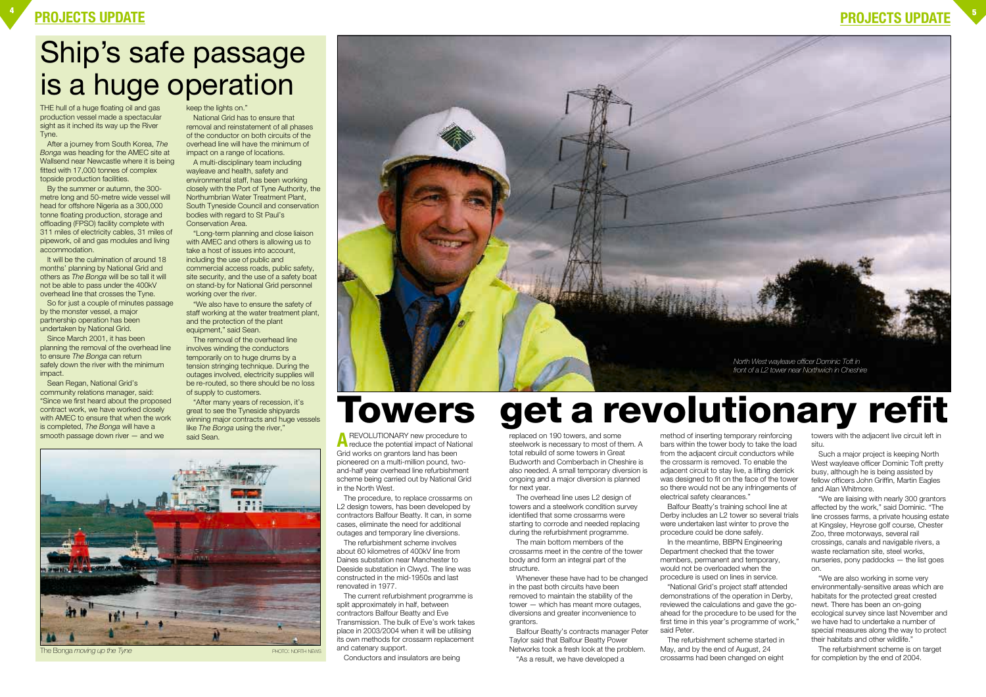### **PROJECTS UPDATE <sup>4</sup>**

### **PROJECTS UPDATE <sup>5</sup>**

THE hull of a huge floating oil and gas production vessel made a spectacular sight as it inched its way up the River Tyne.

After a journey from South Korea, *The Bonga* was heading for the AMEC site at Wallsend near Newcastle where it is being fitted with 17,000 tonnes of complex topside production facilities.

It will be the culmination of around 18 months' planning by National Grid and others as *The Bonga* will be so tall it will not be able to pass under the 400kV overhead line that crosses the Tyne.

By the summer or autumn, the 300 metre long and 50-metre wide vessel will head for offshore Nigeria as a 300,000 tonne floating production, storage and offloading (FPSO) facility complete with 311 miles of electricity cables, 31 miles of pipework, oil and gas modules and living accommodation.

So for just a couple of minutes passage by the monster vessel, a major partnership operation has been undertaken by National Grid.

Since March 2001, it has been planning the removal of the overhead line to ensure *The Bonga* can return safely down the river with the minimum impact.

Sean Regan, National Grid's community relations manager, said: "Since we first heard about the proposed contract work, we have worked closely with AMEC to ensure that when the work is completed, *The Bonga* will have a smooth passage down river — and we

keep the lights on."

said Sean. **A** REVOLUTIONARY new procedure to<br> **A** reduce the potential impact of National Grid works on grantors land has been pioneered on a multi-million pound, twoand-half year overhead line refurbishment scheme being carried out by National Grid in the North West.

National Grid has to ensure that removal and reinstatement of all phases of the conductor on both circuits of the overhead line will have the minimum of impact on a range of locations.

A multi-disciplinary team including wayleave and health, safety and environmental staff, has been working closely with the Port of Tyne Authority, the Northumbrian Water Treatment Plant, South Tyneside Council and conservation bodies with regard to St Paul's Conservation Area.

"Long-term planning and close liaison with AMEC and others is allowing us to take a host of issues into account, including the use of public and commercial access roads, public safety, site security, and the use of a safety boat on stand-by for National Grid personnel working over the river.

"We also have to ensure the safety of staff working at the water treatment plant, and the protection of the plant equipment," said Sean.

The removal of the overhead line involves winding the conductors temporarily on to huge drums by a tension stringing technique. During the outages involved, electricity supplies will be re-routed, so there should be no loss of supply to customers.

"After many years of recession, it's great to see the Tyneside shipyards winning major contracts and huge vessels like *The Bonga* using the river,"

> The procedure, to replace crossarms on L<sub>2</sub> design towers, has been developed by contractors Balfour Beatty. It can, in some cases, eliminate the need for additional outages and temporary line diversions.

The refurbishment scheme involves about 60 kilometres of 400kV line from Daines substation near Manchester to Deeside substation in Clwyd. The line was constructed in the mid-1950s and last renovated in 1977.

The current refurbishment programme is split approximately in half, between contractors Balfour Beatty and Eve Transmission. The bulk of Eve's work takes place in 2003/2004 when it will be utilising its own methods for crossarm replacement and catenary support.

Conductors and insulators are being

replaced on 190 towers, and some steelwork is necessary to most of them. A total rebuild of some towers in Great Budworth and Comberbach in Cheshire is also needed. A small temporary diversion is ongoing and a major diversion is planned for next year.

The overhead line uses L2 design of towers and a steelwork condition survey identified that some crossarms were starting to corrode and needed replacing during the refurbishment programme.

The main bottom members of the crossarms meet in the centre of the tower body and form an integral part of the structure.

Whenever these have had to be changed in the past both circuits have been removed to maintain the stability of the tower — which has meant more outages, diversions and greater inconvenience to grantors.

Balfour Beatty's contracts manager Peter Taylor said that Balfour Beatty Power Networks took a fresh look at the problem.

"As a result, we have developed a

method of inserting temporary reinforcing bars within the tower body to take the load from the adjacent circuit conductors while the crossarm is removed. To enable the adjacent circuit to stay live, a lifting derrick was designed to fit on the face of the tower so there would not be any infringements of electrical safety clearances."

Balfour Beatty's training school line at Derby includes an L2 tower so several trials were undertaken last winter to prove the procedure could be done safely.

In the meantime, BBPN Engineering Department checked that the tower members, permanent and temporary, would not be overloaded when the procedure is used on lines in service.

"National Grid's project staff attended demonstrations of the operation in Derby, reviewed the calculations and gave the goahead for the procedure to be used for the first time in this year's programme of work," said Peter.

The refurbishment scheme started in May, and by the end of August, 24 crossarms had been changed on eight

towers with the adjacent live circuit left in situ.

Such a major project is keeping North West wayleave officer Dominic Toft pretty busy, although he is being assisted by fellow officers John Griffin, Martin Eagles and Alan Whitmore.

"We are liaising with nearly 300 grantors affected by the work," said Dominic. "The line crosses farms, a private housing estate at Kingsley, Heyrose golf course, Chester Zoo, three motorways, several rail crossings, canals and navigable rivers, a waste reclamation site, steel works, nurseries, pony paddocks — the list goes on.

"We are also working in some very environmentally-sensitive areas which are habitats for the protected great crested newt. There has been an on-going ecological survey since last November and we have had to undertake a number of special measures along the way to protect their habitats and other wildlife."

The refurbishment scheme is on target for completion by the end of 2004.

# **Towers get a revolutionary refit**

## Ship's safe passage is a huge operation



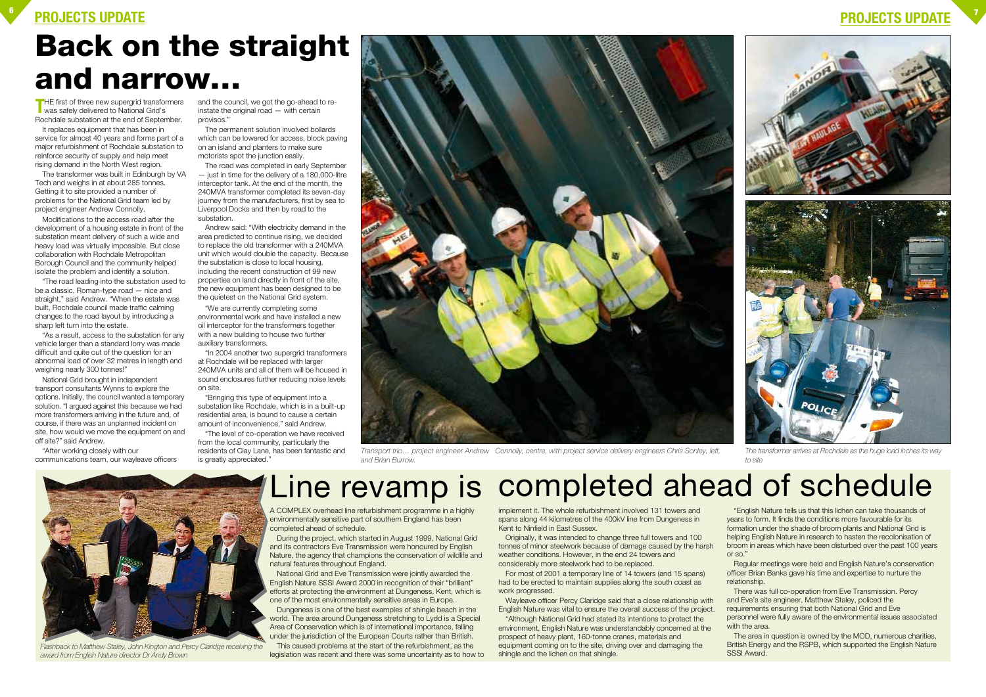### **PROJECTS UPDATE <sup>6</sup>**

### **PROJECTS UPDATE <sup>7</sup>**

A COMPLEX overhead line refurbishment programme in a highly environmentally sensitive part of southern England has been completed ahead of schedule.

During the project, which started in August 1999, National Grid and its contractors Eve Transmission were honoured by English Nature, the agency that champions the conservation of wildlife and natural features throughout England.

National Grid and Eve Transmission were jointly awarded the English Nature SSSI Award 2000 in recognition of their "brilliant" efforts at protecting the environment at Dungeness, Kent, which is one of the most environmentally sensitive areas in Europe.

Dungeness is one of the best examples of shingle beach in the world. The area around Dungeness stretching to Lydd is a Special Area of Conservation which is of international importance, falling under the jurisdiction of the European Courts rather than British.

This caused problems at the start of the refurbishment, as the legislation was recent and there was some uncertainty as to how to

implement it. The whole refurbishment involved 131 towers and spans along 44 kilometres of the 400kV line from Dungeness in Kent to Ninfield in East Sussex.

Originally, it was intended to change three full towers and 100 tonnes of minor steelwork because of damage caused by the harsh weather conditions. However, in the end 24 towers and considerably more steelwork had to be replaced.

**THE first of three new supergrid transformers**<br>was safely delivered to National Grid's Rochdale substation at the end of September.

> For most of 2001 a temporary line of 14 towers (and 15 spans) had to be erected to maintain supplies along the south coast as work progressed.

Wayleave officer Percy Claridge said that a close relationship with English Nature was vital to ensure the overall success of the project.

"The road leading into the substation used to be a classic, Roman-type road — nice and straight," said Andrew. "When the estate was built, Rochdale council made traffic calming changes to the road layout by introducing a sharp left turn into the estate.

> "Although National Grid had stated its intentions to protect the environment, English Nature was understandably concerned at the prospect of heavy plant, 160-tonne cranes, materials and equipment coming on to the site, driving over and damaging the shingle and the lichen on that shingle.

"English Nature tells us that this lichen can take thousands of years to form. It finds the conditions more favourable for its formation under the shade of broom plants and National Grid is helping English Nature in research to hasten the recolonisation of broom in areas which have been disturbed over the past 100 years

or so."

Regular meetings were held and English Nature's conservation officer Brian Banks gave his time and expertise to nurture the relationship.

There was full co-operation from Eve Transmission. Percy and Eve's site engineer, Matthew Staley, policed the

requirements ensuring that both National Grid and Eve personnel were fully aware of the environmental issues associated with the area.

The area in question is owned by the MOD, numerous charities, British Energy and the RSPB, which supported the English Nature SSSI Award.

It replaces equipment that has been in service for almost 40 years and forms part of a major refurbishment of Rochdale substation to reinforce security of supply and help meet rising demand in the North West region.

The transformer was built in Edinburgh by VA Tech and weighs in at about 285 tonnes. Getting it to site provided a number of problems for the National Grid team led by project engineer Andrew Connolly.

Modifications to the access road after the development of a housing estate in front of the substation meant delivery of such a wide and heavy load was virtually impossible. But close collaboration with Rochdale Metropolitan Borough Council and the community helped isolate the problem and identify a solution.

"As a result, access to the substation for any vehicle larger than a standard lorry was made difficult and quite out of the question for an abnormal load of over 32 metres in length and weighing nearly 300 tonnes!"

National Grid brought in independent transport consultants Wynns to explore the options. Initially, the council wanted a temporary solution. "I argued against this because we had more transformers arriving in the future and, of course, if there was an unplanned incident on site, how would we move the equipment on and off site?" said Andrew.

"After working closely with our communications team, our wayleave officers and the council, we got the go-ahead to reinstate the original road — with certain provisos."

The permanent solution involved bollards which can be lowered for access, block paving on an island and planters to make sure motorists spot the junction easily.

The road was completed in early September — just in time for the delivery of a 180,000-litre interceptor tank. At the end of the month, the 240MVA transformer completed its seven-day journey from the manufacturers, first by sea to Liverpool Docks and then by road to the substation.

Andrew said: "With electricity demand in the area predicted to continue rising, we decided to replace the old transformer with a 240MVA unit which would double the capacity. Because the substation is close to local housing, including the recent construction of 99 new properties on land directly in front of the site, the new equipment has been designed to be the quietest on the National Grid system.

"We are currently completing some environmental work and have installed a new oil interceptor for the transformers together with a new building to house two further auxiliary transformers.

"In 2004 another two supergrid transformers at Rochdale will be replaced with larger 240MVA units and all of them will be housed in sound enclosures further reducing noise levels on site.

"Bringing this type of equipment into a substation like Rochdale, which is in a built-up residential area, is bound to cause a certain amount of inconvenience," said Andrew.

"The level of co-operation we have received from the local community, particularly the residents of Clay Lane, has been fantastic and is greatly appreciated."

## **Back on the straight and narrow…**

## Line revamp is completed ahead of schedule



*Transport trio… project engineer Andrew Connolly, centre, with project service delivery engineers Chris Sonley, left, and Brian Burrow. to site*



*Flashback to Matthew Staley, John Kington and Percy Claridge receiving the award from English Nature director Dr Andy Brown*



*The transformer arrives at Rochdale as the huge load inches its way*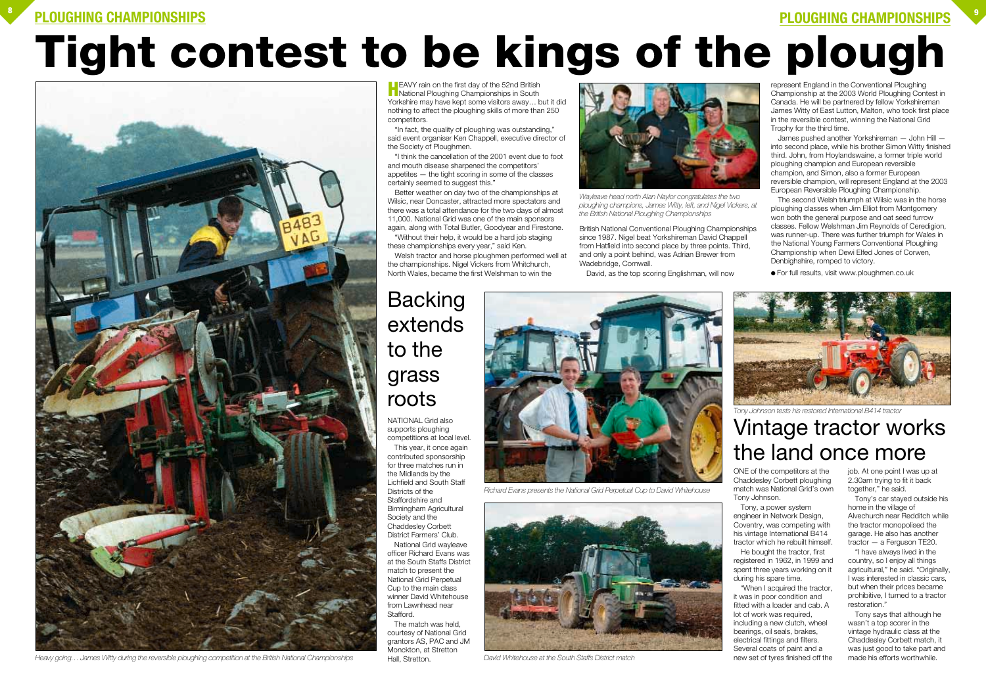### **PLOUGHING CHAMPIONSHIPS <sup>8</sup>**

### **PLOUGHING CHAMPIONSHIPS <sup>9</sup>**

# **Tight contest to be kings of the plough**



### Vintage tractor works the land once more

### **Backing** extends to the grass roots

*Heavy going… James Witty during the reversible ploughing competition at the British National Championships David Whitehouse at the South Staffs District match*

**H**EAVY rain on the first day of the 52nd British<br>National Ploughing Championships in South Yorkshire may have kept some visitors away… but it did nothing to affect the ploughing skills of more than 250 competitors.



*Richard Evans presents the National Grid Perpetual Cup to David Whitehouse*



"In fact, the quality of ploughing was outstanding," said event organiser Ken Chappell, executive director of the Society of Ploughmen.

"I think the cancellation of the 2001 event due to foot and mouth disease sharpened the competitors' appetites — the tight scoring in some of the classes certainly seemed to suggest this."

Better weather on day two of the championships at Wilsic, near Doncaster, attracted more spectators and there was a total attendance for the two days of almost 11,000. National Grid was one of the main sponsors again, along with Total Butler, Goodyear and Firestone.

"Without their help, it would be a hard job staging these championships every year," said Ken.

Welsh tractor and horse ploughmen performed well at the championships. Nigel Vickers from Whitchurch, North Wales, became the first Welshman to win the

British National Conventional Ploughing Championships since 1987. Nigel beat Yorkshireman David Chappell from Hatfield into second place by three points. Third, and only a point behind, was Adrian Brewer from Wadebridge, Cornwall.

David, as the top scoring Englishman, will now

represent England in the Conventional Ploughing Championship at the 2003 World Ploughing Contest in Canada. He will be partnered by fellow Yorkshireman James Witty of East Lutton, Malton, who took first place in the reversible contest, winning the National Grid Trophy for the third time.

James pushed another Yorkshireman — John Hill into second place, while his brother Simon Witty finished third. John, from Hoylandswaine, a former triple world ploughing champion and European reversible champion, and Simon, also a former European reversible champion, will represent England at the 2003 European Reversible Ploughing Championship.

The second Welsh triumph at Wilsic was in the horse ploughing classes when Jim Elliot from Montgomery won both the general purpose and oat seed furrow classes. Fellow Welshman Jim Reynolds of Ceredigion, was runner-up. There was further triumph for Wales in the National Young Farmers Conventional Ploughing Championship when Dewi Elfed Jones of Corwen, Denbighshire, romped to victory.

● For full results, visit www.ploughmen.co.uk



supports ploughing competitions at local level. This year, it once again contributed sponsorship for three matches run in the Midlands by the Lichfield and South Staff Districts of the Staffordshire and Birmingham Agricultural Society and the Chaddesley Corbett District Farmers' Club.

National Grid wayleave officer Richard Evans was at the South Staffs District match to present the National Grid Perpetual Cup to the main class winner David Whitehouse from Lawnhead near Stafford.

The match was held, courtesy of National Grid grantors AS, PAC and JM Monckton, at Stretton Hall, Stretton.

ONE of the competitors at the Chaddesley Corbett ploughing match was National Grid's own Tony Johnson.

Tony, a power system engineer in Network Design, Coventry, was competing with his vintage International B414 tractor which he rebuilt himself. He bought the tractor, first registered in 1962, in 1999 and spent three years working on it during his spare time.

"When I acquired the tractor, it was in poor condition and fitted with a loader and cab. A lot of work was required, including a new clutch, wheel bearings, oil seals, brakes, electrical fittings and filters. Several coats of paint and a new set of tyres finished off the

job. At one point I was up at 2.30am trying to fit it back together," he said.

Tony's car stayed outside his home in the village of Alvechurch near Redditch while the tractor monopolised the garage. He also has another tractor — a Ferguson TE20.

"I have always lived in the country, so I enjoy all things agricultural," he said. "Originally, I was interested in classic cars, but when their prices became prohibitive, I turned to a tractor restoration."

Tony says that although he wasn't a top scorer in the vintage hydraulic class at the Chaddesley Corbett match, it was just good to take part and made his efforts worthwhile.



*Wayleave head north Alan Naylor congratulates the two ploughing champions, James Witty, left, and Nigel Vickers, at the British National Ploughing Championships*



*Tony Johnson tests his restored International B414 tractor*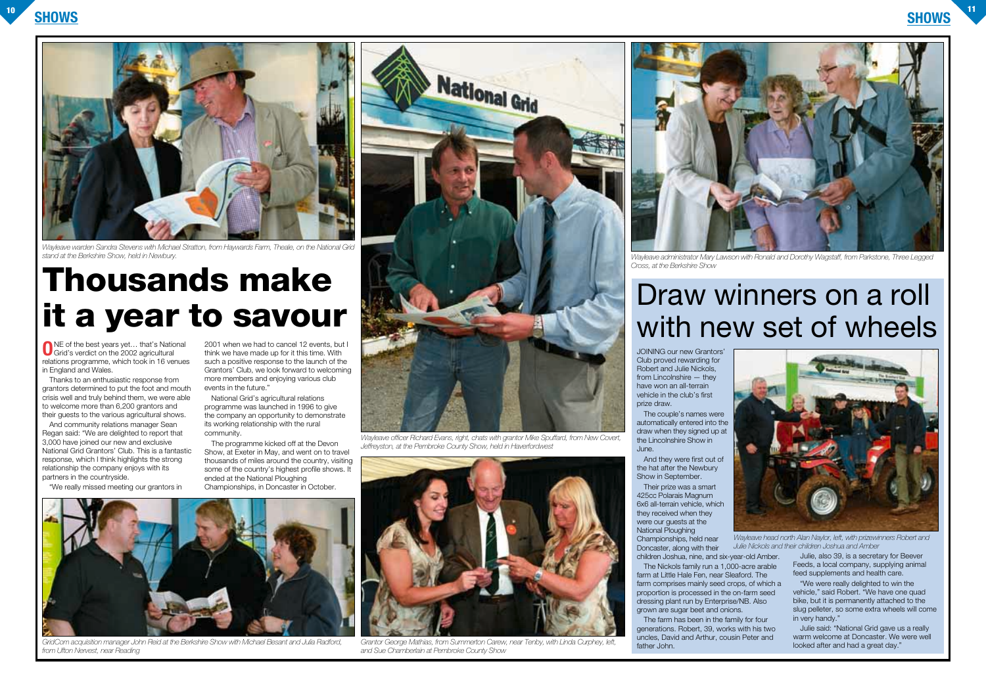### **SHOWS <sup>10</sup> SHOWS**

**O**NE of the best years yet… that's National Grid's verdict on the 2002 agricultural relations programme, which took in 16 venues in England and Wales.

Thanks to an enthusiastic response from grantors determined to put the foot and mouth crisis well and truly behind them, we were able to welcome more than 6,200 grantors and their guests to the various agricultural shows.

And community relations manager Sean Regan said: "We are delighted to report that 3,000 have joined our new and exclusive National Grid Grantors' Club. This is a fantastic response, which I think highlights the strong relationship the company enjoys with its partners in the countryside.

"We really missed meeting our grantors in

2001 when we had to cancel 12 events, but I think we have made up for it this time. With such a positive response to the launch of the Grantors' Club, we look forward to welcoming more members and enjoying various club events in the future."

National Grid's agricultural relations programme was launched in 1996 to give the company an opportunity to demonstrate its working relationship with the rural community.

The programme kicked off at the Devon Show, at Exeter in May, and went on to travel thousands of miles around the country, visiting some of the country's highest profile shows. It ended at the National Ploughing Championships, in Doncaster in October.

# **Thousands make it a year to savour**

JOINING our new Grantors' Club proved rewarding for Robert and Julie Nickols, from Lincolnshire — they have won an all-terrain vehicle in the club's first prize draw.

The couple's names were automatically entered into the draw when they signed up at the Lincolnshire Show in June.

And they were first out of the hat after the Newbury Show in September.

Their prize was a smart 425cc Polarais Magnum 6x6 all-terrain vehicle, which they received when they were our quests at the National Ploughing Championships, held near

Doncaster, along with their

children Joshua, nine, and six-year-old Amber. The Nickols family run a 1,000-acre arable farm at Little Hale Fen, near Sleaford. The farm comprises mainly seed crops, of which a proportion is processed in the on-farm seed dressing plant run by Enterprise/NB. Also grown are sugar beet and onions.

The farm has been in the family for four generations. Robert, 39, works with his two uncles, David and Arthur, cousin Peter and father John.

Julie, also 39, is a secretary for Beever Feeds, a local company, supplying animal feed supplements and health care.

"We were really delighted to win the vehicle," said Robert. "We have one quad bike, but it is permanently attached to the slug pelleter, so some extra wheels will come in very handy."

Julie said: "National Grid gave us a really warm welcome at Doncaster. We were well looked after and had a great day."

## Draw winners on a roll with new set of wheels



*GridCom acquisition manager John Reid at the Berkshire Show with Michael Besant and Julia Radford, from Ufton Nervest, near Reading*



*Wayleave warden Sandra Stevens with Michael Stratton, from Haywards Farm, Theale, on the National Grid stand at the Berkshire Show, held in Newbury.*



*Wayleave officer Richard Evans, right, chats with grantor Mike Spuffard, from New Covert, Jeffreyston, at the Pembroke County Show, held in Haverfordwest*



*Grantor George Mathias, from Summerton Carew, near Tenby, with Linda Curphey, left, and Sue Chamberlain at Pembroke County Show*

*Wayleave administrator Mary Lawson with Ronald and Dorothy Wagstaff, from Parkstone, Three Legged*





*Cross, at the Berkshire Show*

*Wayleave head north Alan Naylor, left, with prizewinners Robert and Julie Nickols and their children Joshua and Amber*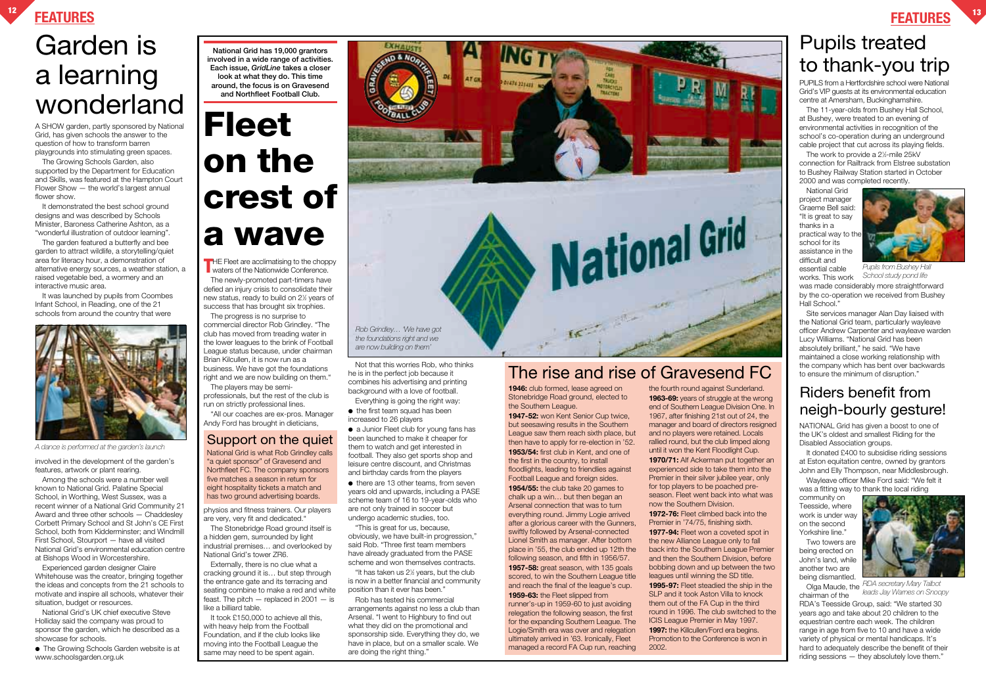### **FEATURES <sup>12</sup> FEATURES <sup>13</sup>**

## Garden is a learning wonderland

### Pupils treated to thank-you trip

### Riders benefit from neigh-bourly gesture!

Wayleave officer Mike Ford said: "We felt it was a fitting way to thank the local riding

NATIONAL Grid has given a boost to one of the UK's oldest and smallest Riding for the Disabled Association groups.

It donated £400 to subsidise riding sessions at Eston equitation centre, owned by grantors John and Elly Thompson, near Middlesbrough.

community on Teesside, where work is under way on the second Yorkshire line."

The newly-promoted part-timers have defied an injury crisis to consolidate their new status, ready to build on 21 ⁄2 years of success that has brought six trophies.

> Two towers are being erected on John's land, while another two are being dismantled.

Olga Maude, the chairman of the

RDA's Teesside Group, said: "We started 30 years ago and take about 20 children to the equestrian centre each week. The children range in age from five to 10 and have a wide variety of physical or mental handicaps. It's hard to adequately describe the benefit of their riding sessions — they absolutely love them."

It took £150,000 to achieve all this, with heavy help from the Football Foundation, and if the club looks like moving into the Football League the same may need to be spent again.

● the first team squad has been increased to 26 players

The progress is no surprise to commercial director Rob Grindley. "The club has moved from treading water in the lower leagues to the brink of Football League status because, under chairman Brian Kilcullen, it is now run as a business. We have got the foundations

> ● there are 13 other teams, from seven years old and upwards, including a PASE scheme team of 16 to 19-year-olds who are not only trained in soccer but undergo academic studies, too.

right and we are now building on them." The players may be semiprofessionals, but the rest of the club is run on strictly professional lines.

"All our coaches are ex-pros. Manager Andy Ford has brought in dieticians,

physios and fitness trainers. Our players are very, very fit and dedicated."

The Stonebridge Road ground itself is a hidden gem, surrounded by light industrial premises… and overlooked by National Grid's tower ZR6.

The work to provide a 2½-mile 25kV connection for Railtrack from Elstree substation to Bushey Railway Station started in October 2000 and was completed recently.

Externally, there is no clue what a cracking ground it is… but step through the entrance gate and its terracing and seating combine to make a red and white feast. The pitch  $-$  replaced in 2001  $-$  is like a billiard table.

Not that this worries Rob, who thinks he is in the perfect job because it combines his advertising and printing background with a love of football.

Everything is going the right way:

● a Junior Fleet club for young fans has been launched to make it cheaper for them to watch and get interested in football. They also get sports shop and leisure centre discount, and Christmas and birthday cards from the players

"This is great for us, because, obviously, we have built-in progression," said Rob. "Three first team members have already graduated from the PASE scheme and won themselves contracts.

"It has taken us 21 ⁄2 years, but the club is now in a better financial and community position than it ever has been."

● The Growing Schools Garden website is at www.schoolsgarden.org.uk

Rob has tested his commercial arrangements against no less a club than Arsenal. "I went to Highbury to find out what they did on the promotional and sponsorship side. Everything they do, we have in place, but on a smaller scale. We are doing the right thing."

**1946:** club formed, lease agreed on Stonebridge Road ground, elected to the Southern League.

PUPILS from a Hertfordshire school were National Grid's VIP guests at its environmental education centre at Amersham, Buckinghamshire.

The 11-year-olds from Bushey Hall School, at Bushey, were treated to an evening of environmental activities in recognition of the school's co-operation during an underground cable project that cut across its playing fields.

National Grid project manager Graeme Bell said: "It is great to say thanks in a practical way to the school for its assistance in the difficult and essential cable works. This work

was made considerably more straightforward by the co-operation we received from Bushey Hall School."

Site services manager Alan Day liaised with the National Grid team, particularly wayleave officer Andrew Carpenter and wayleave warden Lucy Williams. "National Grid has been absolutely brilliant," he said. "We have maintained a close working relationship with the company which has bent over backwards to ensure the minimum of disruption."

A SHOW garden, partly sponsored by National Grid, has given schools the answer to the question of how to transform barren playgrounds into stimulating green spaces.

The Growing Schools Garden, also supported by the Department for Education and Skills, was featured at the Hampton Court Flower Show — the world's largest annual flower show.

It demonstrated the best school ground designs and was described by Schools Minister, Baroness Catherine Ashton, as a "wonderful illustration of outdoor learning".

The garden featured a butterfly and bee garden to attract wildlife, a storytelling/quiet area for literacy hour, a demonstration of alternative energy sources, a weather station, a raised vegetable bed, a wormery and an interactive music area.

It was launched by pupils from Coombes Infant School, in Reading, one of the 21 schools from around the country that were



involved in the development of the garden's features, artwork or plant rearing.

Among the schools were a number well known to National Grid. Palatine Special School, in Worthing, West Sussex, was a recent winner of a National Grid Community 21 Award and three other schools — Chaddesley Corbett Primary School and St John's CE First School, both from Kidderminster; and Windmill First School, Stourport — have all visited National Grid's environmental education centre at Bishops Wood in Worcestershire.

Experienced garden designer Claire Whitehouse was the creator, bringing together the ideas and concepts from the 21 schools to motivate and inspire all schools, whatever their situation, budget or resources.

National Grid's UK chief executive Steve Holliday said the company was proud to sponsor the garden, which he described as a showcase for schools.

**National Grid has 19,000 grantors involved in a wide range of activities. Each issue,** *GridLine* **takes a closer look at what they do. This time around, the focus is on Gravesend and Northfleet Football Club.**

# **Fleet on the crest of a wave**

**THE Fleet are acclimatising to the choppy<br>waters of the Nationwide Conference.** 

### Support on the quiet

National Grid is what Rob Grindley calls "a quiet sponsor" of Gravesend and Northfleet FC. The company sponsors five matches a season in return for eight hospitality tickets a match and has two ground advertising boards.

**1947-52:** won Kent Senior Cup twice, but seesawing results in the Southern League saw them reach sixth place, but then have to apply for re-election in '52. **1953/54:** first club in Kent, and one of the first in the country, to install floodlights, leading to friendlies against Football League and foreign sides. **1954/55:** the club take 20 games to chalk up a win… but then began an Arsenal connection that was to turn everything round. Jimmy Logie arrived after a glorious career with the Gunners, swiftly followed by Arsenal-connected Lionel Smith as manager. After bottom place in '55, the club ended up 12th the following season, and fifth in 1956/57.

**1957-58:** great season, with 135 goals scored, to win the Southern League title and reach the final of the league's cup. **1959-63:** the Fleet slipped from

runner's-up in 1959-60 to just avoiding relegation the following season, the first for the expanding Southern League. The Logie/Smith era was over and relegation ultimately arrived in '63. Ironically, Fleet managed a record FA Cup run, reaching the fourth round against Sunderland. **1963-69:** years of struggle at the wrong end of Southern League Division One. In 1967, after finishing 21st out of 24, the manager and board of directors resigned and no players were retained. Locals rallied round, but the club limped along until it won the Kent Floodlight Cup. **1970/71:** Alf Ackerman put together an experienced side to take them into the Premier in their silver jubilee year, only for top players to be poached preseason. Fleet went back into what was now the Southern Division.

**1972-76:** Fleet climbed back into the Premier in '74/75, finishing sixth. **1977-94:** Fleet won a coveted spot in the new Alliance League only to fall back into the Southern League Premier and then the Southern Division, before bobbing down and up between the two leagues until winning the SD title. **1995-97:** Fleet steadied the ship in the SLP and it took Aston Villa to knock them out of the FA Cup in the third round in 1996. The club switched to the ICIS League Premier in May 1997. **1997:** the Killcullen/Ford era begins. Promotion to the Conference is won in 2002.

### The rise and rise of Gravesend FC



*RDA secretary Mary Talbot leads Jay Warnes on Snoopy*



*Pupils from Bushey Hall School study pond life*



*A dance is performed at the garden's launch*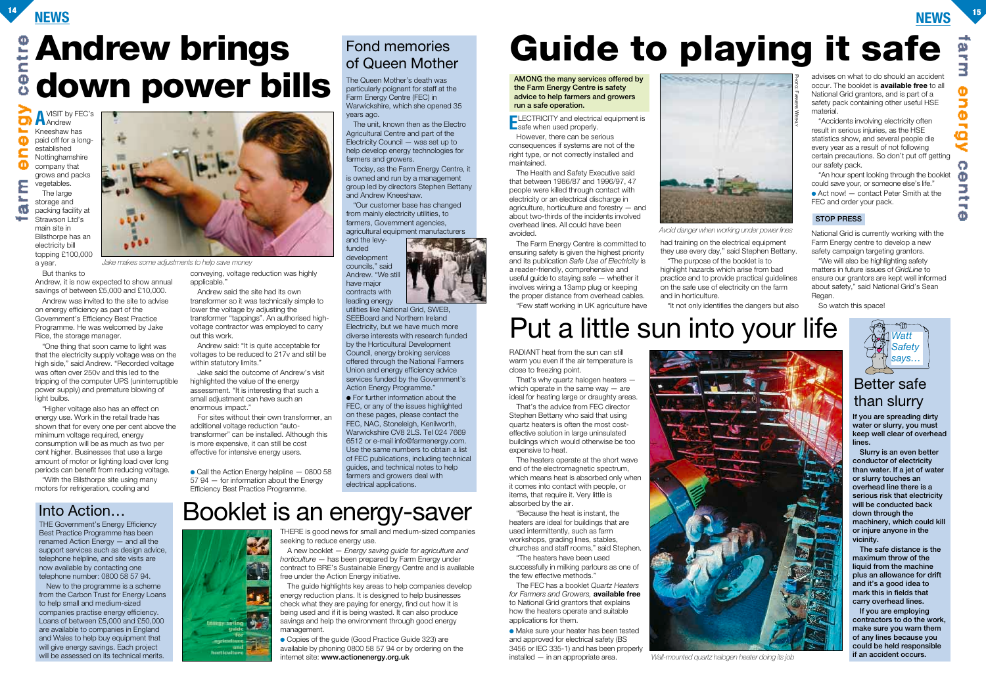### **NEWS <sup>14</sup> NEWS <sup>15</sup>**

The Queen Mother's death was particularly poignant for staff at the Farm Energy Centre (FEC) in Warwickshire, which she opened 35 years ago.

The unit, known then as the Electro Agricultural Centre and part of the Electricity Council — was set up to help develop energy technologies for farmers and growers.

Today, as the Farm Energy Centre, it is owned and run by a management group led by directors Stephen Bettany and Andrew Kneeshaw.

"Our customer base has changed from mainly electricity utilities, to farmers, Government agencies, agricultural equipment manufacturers

and the levyfunded development councils," said Andrew. "We still have major contracts with leading energy

● For further information about the FEC, or any of the issues highlighted on these pages, please contact the FEC, NAC, Stoneleigh, Kenilworth, Warwickshire CV8 2LS. Tel 024 7669 6512 or e-mail info@farmenergy.com. Use the same numbers to obtain a list of FEC publications, including technical guides, and technical notes to help farmers and growers deal with electrical applications.

utilities like National Grid, SWEB, SEEBoard and Northern Ireland Electricity, but we have much more diverse interests with research funded by the Horticultural Development Council, energy broking services offered through the National Farmers Union and energy efficiency advice services funded by the Government's Action Energy Programme."

**A**VISIT by FEC's ō **A** Andrew Kneeshaw has Φ paid off for a longestablished c Nottinghamshire Φ company that grows and packs ε

a.<br>Kabupatèn

RADIANT heat from the sun can still warm you even if the air temperature is close to freezing point.

That's why quartz halogen heaters which operate in the same way — are ideal for heating large or draughty areas.

"One thing that soon came to light was that the electricity supply voltage was on the high side," said Andrew. "Recorded voltage was often over 250v and this led to the tripping of the computer UPS (uninterruptible power supply) and premature blowing of light bulbs.

That's the advice from FEC director Stephen Bettany who said that using quartz heaters is often the most costeffective solution in large uninsulated buildings which would otherwise be too expensive to heat.

The heaters operate at the short wave end of the electromagnetic spectrum, which means heat is absorbed only when it comes into contact with people, or items, that require it. Very little is absorbed by the air.

Andrew said: "It is quite acceptable for voltages to be reduced to 217v and still be within statutory limits."

Jake said the outcome of Andrew's visit highlighted the value of the energy assessment. "It is interesting that such a small adjustment can have such an enormous impact."

> "Because the heat is instant, the heaters are ideal for buildings that are used intermittently, such as farm workshops, grading lines, stables, churches and staff rooms," said Stephen.

"The heaters have been used successfully in milking parlours as one of the few effective methods."

 $\bullet$  Call the Action Energy helpline  $-$  0800 58 57 94 — for information about the Energy Efficiency Best Practice Programme.

The FEC has a booklet *Quartz Heaters for Farmers and Growers,* **available free** to National Grid grantors that explains how the heaters operate and suitable applications for them.

● Make sure your heater has been tested and approved for electrical safety (BS 3456 or IEC 335-1) and has been properly installed — in an appropriate area.

The guide highlights key areas to help companies develop energy reduction plans. It is designed to help businesses check what they are paying for energy, find out how it is being used and if it is being wasted. It can also produce savings and help the environment through good energy management.

● Copies of the quide (Good Practice Guide 323) are available by phoning 0800 58 57 94 or by ordering on the internet site: **www.actionenergy.org.uk**

vegetables. The large storage and ۲ð packing facility at Strawson Ltd's main site in Bilsthorpe has an electricity bill topping £100,000 a year.

But thanks to

Andrew, it is now expected to show annual savings of between £5,000 and £10,000.

Andrew was invited to the site to advise on energy efficiency as part of the Government's Efficiency Best Practice Programme. He was welcomed by Jake Rice, the storage manager.

"Higher voltage also has an effect on energy use. Work in the retail trade has shown that for every one per cent above the minimum voltage required, energy consumption will be as much as two per cent higher. Businesses that use a large amount of motor or lighting load over long periods can benefit from reducing voltage.

"With the Bilsthorpe site using many motors for refrigeration, cooling and

conveying, voltage reduction was highly applicable."

Andrew said the site had its own transformer so it was technically simple to lower the voltage by adjusting the transformer "tappings". An authorised highvoltage contractor was employed to carry out this work.

New to the programme is a scheme from the Carbon Trust for Energy Loans to help small and medium-sized companies practise energy efficiency. Loans of between £5,000 and £50,000 are available to companies in England and Wales to help buy equipment that will give energy savings. Each project will be assessed on its technical merits.

For sites without their own transformer, an additional voltage reduction "autotransformer" can be installed. Although this is more expensive, it can still be cost effective for intensive energy users.

> THERE is good news for small and medium-sized companies seeking to reduce energy use.

A new booklet — *Energy saving guide for agriculture and horticulture* — has been prepared by Farm Energy under contract to BRE's Sustainable Energy Centre and is available free under the Action Energy initiative.

**If you are spreading dirty water or slurry, you must keep well clear of overhead lines.**

**Slurry is an even better conductor of electricity than water. If a jet of water or slurry touches an overhead line there is a serious risk that electricity will be conducted back down through the machinery, which could kill or injure anyone in the vicinity.**

**The safe distance is the maximum throw of the liquid from the machine plus an allowance for drift and it's a good idea to mark this in fields that carry overhead lines.**

**If you are employing contractors to do the work, make sure you warn them of any lines because you could be held responsible if an accident occurs.**

However, there can be serious consequences if systems are not of the right type, or not correctly installed and maintained.

The Health and Safety Executive said that between 1986/87 and 1996/97, 47 people were killed through contact with electricity or an electrical discharge in agriculture, horticulture and forestry — and about two-thirds of the incidents involved overhead lines. All could have been avoided.

The Farm Energy Centre is committed to ensuring safety is given the highest priority and its publication *Safe Use of Electricity* is a reader-friendly, comprehensive and useful guide to staying safe — whether it involves wiring a 13amp plug or keeping the proper distance from overhead cables. "Few staff working in UK agriculture have

had training on the electrical equipment they use every day," said Stephen Bettany. "The purpose of the booklet is to highlight hazards which arise from bad practice and to provide practical guidelines on the safe use of electricity on the farm

and in horticulture.

"It not only identifies the dangers but also



advises on what to do should an accident occur. The booklet is **available free** to all National Grid grantors, and is part of a safety pack containing other useful HSE material.

"Accidents involving electricity often result in serious injuries, as the HSE statistics show, and several people die every year as a result of not following certain precautions. So don't put off getting our safety pack.

"An hour spent looking through the booklet could save your, or someone else's life."  $\bullet$  Act now!  $-$  contact Peter Smith at the FEC and order your pack.

National Grid is currently working with the Farm Energy centre to develop a new safety campaign targeting grantors.

"We will also be highlighting safety matters in future issues of *GridLine* to ensure our grantors are kept well informed about safety," said National Grid's Sean Regan.

So watch this space!

#### **STOP PRESS**



### **Andrew brings** cen **down power bills**

Put a little sun into your life

# **Guide to playing it safe**

**AMONG the many services offered by the Farm Energy Centre is safety advice to help farmers and growers run a safe operation.**

**ELECTRICITY** and electrical equipment is<br> **E**safe when used properly.

### Fond memories of Queen Mother

THE Government's Energy Efficiency Best Practice Programme has been renamed Action Energy — and all the support services such as design advice, telephone helpline, and site visits are now available by contacting one telephone number: 0800 58 57 94.



*Avoid danger when working under power lines*

### Booklet is an energy-saver



*Jake makes some adjustments to help save money*



*Wall-mounted quartz halogen heater doing its job*



#### Into Action…

### Better safe than slurry